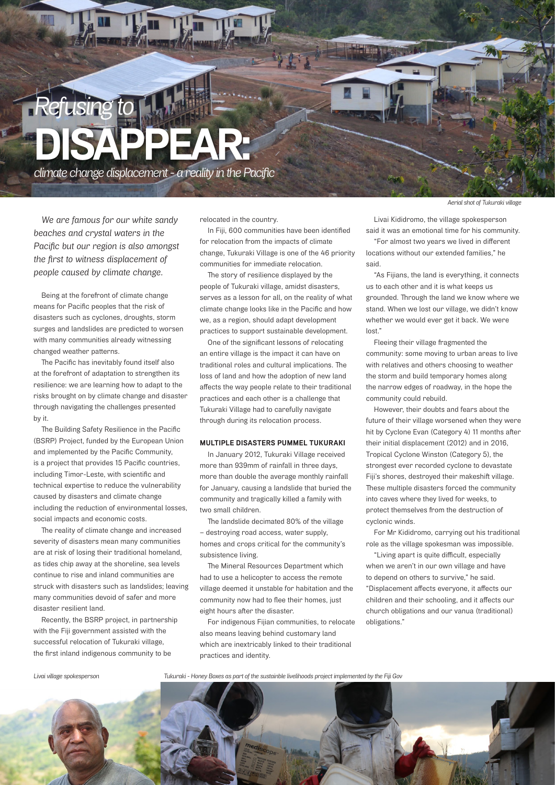

*We are famous for our white sandy beaches and crystal waters in the Pacific but our region is also amongst the first to witness displacement of people caused by climate change.* 

Being at the forefront of climate change means for Pacific peoples that the risk of disasters such as cyclones, droughts, storm surges and landslides are predicted to worsen with many communities already witnessing changed weather patterns.

The Pacific has inevitably found itself also at the forefront of adaptation to strengthen its resilience: we are learning how to adapt to the risks brought on by climate change and disaster through navigating the challenges presented by it.

The Building Safety Resilience in the Pacific (BSRP) Project, funded by the European Union and implemented by the Pacific Community, is a project that provides 15 Pacific countries, including Timor-Leste, with scientific and technical expertise to reduce the vulnerability caused by disasters and climate change including the reduction of environmental losses, social impacts and economic costs.

The reality of climate change and increased severity of disasters mean many communities are at risk of losing their traditional homeland, as tides chip away at the shoreline, sea levels continue to rise and inland communities are struck with disasters such as landslides; leaving many communities devoid of safer and more disaster resilient land.

Recently, the BSRP project, in partnership with the Fiji government assisted with the successful relocation of Tukuraki village, the first inland indigenous community to be

relocated in the country.

In Fiji, 600 communities have been identified for relocation from the impacts of climate change, Tukuraki Village is one of the 46 priority communities for immediate relocation.

The story of resilience displayed by the people of Tukuraki village, amidst disasters, serves as a lesson for all, on the reality of what climate change looks like in the Pacific and how we, as a region, should adapt development practices to support sustainable development.

One of the significant lessons of relocating an entire village is the impact it can have on traditional roles and cultural implications. The loss of land and how the adoption of new land affects the way people relate to their traditional practices and each other is a challenge that Tukuraki Village had to carefully navigate through during its relocation process.

## **MULTIPLE DISASTERS PUMMEL TUKURAKI**

In January 2012, Tukuraki Village received more than 939mm of rainfall in three days, more than double the average monthly rainfall for January, causing a landslide that buried the community and tragically killed a family with two small children.

The landslide decimated 80% of the village – destroying road access, water supply, homes and crops critical for the community's subsistence living.

The Mineral Resources Department which had to use a helicopter to access the remote village deemed it unstable for habitation and the community now had to flee their homes, just eight hours after the disaster.

For indigenous Fijian communities, to relocate also means leaving behind customary land which are inextricably linked to their traditional practices and identity.

*Aerial shot of Tukuraki village*

Livai Kididromo, the village spokesperson said it was an emotional time for his community.

"For almost two years we lived in different locations without our extended families," he said.

"As Fijians, the land is everything, it connects us to each other and it is what keeps us grounded. Through the land we know where we stand. When we lost our village, we didn't know whether we would ever get it back. We were lost."

Fleeing their village fragmented the community: some moving to urban areas to live with relatives and others choosing to weather the storm and build temporary homes along the narrow edges of roadway, in the hope the community could rebuild.

However, their doubts and fears about the future of their village worsened when they were hit by Cyclone Evan (Category 4) 11 months after their initial displacement (2012) and in 2016, Tropical Cyclone Winston (Category 5), the strongest ever recorded cyclone to devastate Fiji's shores, destroyed their makeshift village. These multiple disasters forced the community into caves where they lived for weeks, to protect themselves from the destruction of cyclonic winds.

For Mr Kididromo, carrying out his traditional role as the village spokesman was impossible.

"Living apart is quite difficult, especially when we aren't in our own village and have to depend on others to survive," he said. "Displacement affects everyone, it affects our children and their schooling, and it affects our church obligations and our vanua (traditional) obligations."

**60 FIJITI**ME

*Livai village spokesperson Tukuraki - Honey Boxes as part of the sustainble livelihoods project implemented by the Fiji Gov*